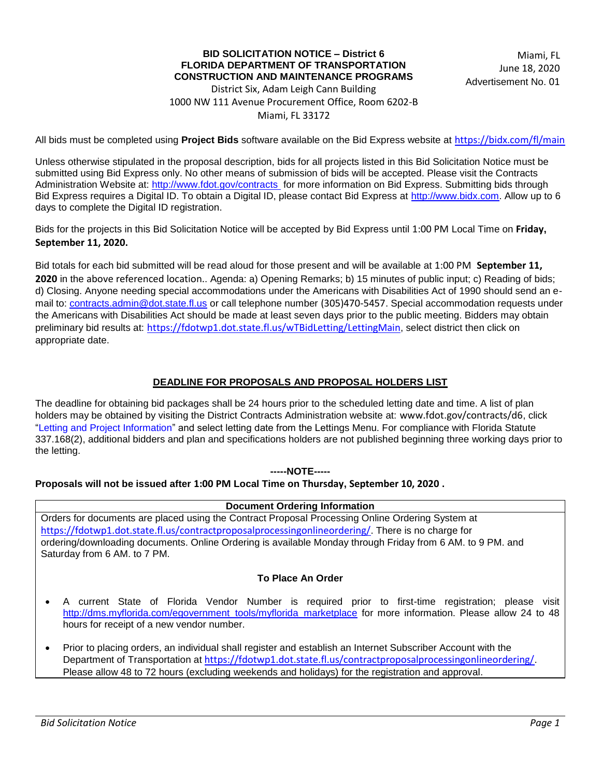### **BID SOLICITATION NOTICE - District 6 FLORIDA DEPARTMENT OF TRANSPORTATION CONSTRUCTION AND MAINTENANCE PROGRAMS**

Miami, FL June 18, 2020 Advertisement No. 01

District Six, Adam Leigh Cann Building 1000 NW 111 Avenue Procurement Office, Room 6202-B Miami. FL 33172

All bids must be completed using **Project Bids** software available on the Bid Express website at https://bidx.com/fl/main

Unless otherwise stipulated in the proposal description, bids for all projects listed in this Bid Solicitation Notice must be submitted using Bid Express only. No other means of submission of bids will be accepted. Please visit the Contracts Administration Website at: http://www.fdot.gov/contracts for more information on Bid Express. Submitting bids through Bid Express requires a Digital ID. To obtain a Digital ID, please contact Bid Express at http://www.bidx.com. Allow up to 6 days to complete the Digital ID registration.

Bids for the projects in this Bid Solicitation Notice will be accepted by Bid Express until 1:00 PM Local Time on Friday, September 11, 2020.

Bid totals for each bid submitted will be read aloud for those present and will be available at  $1:00$  PM September 11, 2020 in the above referenced location.. Agenda: a) Opening Remarks; b) 15 minutes of public input; c) Reading of bids; d) Closing. Anyone needing special accommodations under the Americans with Disabilities Act of 1990 should send an email to: contracts.admin@dot.state.fl.us or call telephone number (305)470-5457. Special accommodation requests under the Americans with Disabilities Act should be made at least seven days prior to the public meeting. Bidders may obtain preliminary bid results at: https://fdotwp1.dot.state.fl.us/wTBidLetting/LettingMain, select district then click on appropriate date.

## **DEADLINE FOR PROPOSALS AND PROPOSAL HOLDERS LIST**

The deadline for obtaining bid packages shall be 24 hours prior to the scheduled letting date and time. A list of plan holders may be obtained by visiting the District Contracts Administration website at: www.fdot.gov/contracts/d6, click "Letting and Project Information" and select letting date from the Lettings Menu. For compliance with Florida Statute 337.168(2), additional bidders and plan and specifications holders are not published beginning three working days prior to the letting.

### **-----NOTE-----**

### **Proposals will not be issued after 1:00 PM Local Time on Thursday, September 10, 2020.**

### **Document Ordering Information**

Orders for documents are placed using the Contract Proposal Processing Online Ordering System at https://fdotwp1.dot.state.fl.us/contractproposalprocessingonlineordering/. There is no charge for ordering/downloading documents. Online Ordering is available Monday through Friday from 6 AM. to 9 PM. and Saturday from 6 AM. to 7 PM.

### **To Place An Order**

- A current State of Florida Vendor Number is required prior to first-time registration; please visit http://dms.myflorida.com/egovernment\_tools/myflorida\_marketplace for more information. Please allow 24 to 48 hours for receipt of a new vendor number.
- ' Prior to placing orders, an individual shall register and establish an Internet Subscriber Account with the Department of Transportation at https://fdotwp1.dot.state.fl.us/contractproposalprocessingonlineordering/. Please allow 48 to 72 hours (excluding weekends and holidays) for the registration and approval.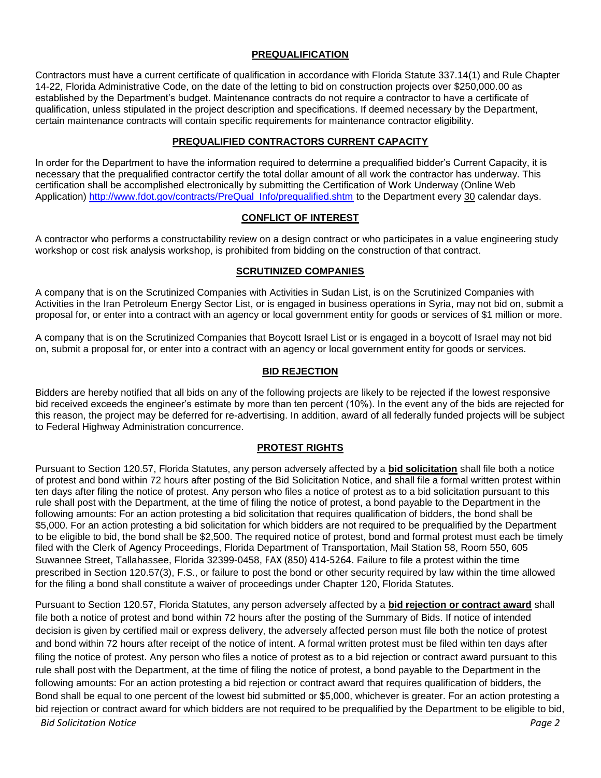## **PREQUALIFICATION**

Contractors must have a current certificate of qualification in accordance with Florida Statute 337.14(1) and Rule Chapter 14-22, Florida Administrative Code, on the date of the letting to bid on construction projects over \$250,000.00 as established by the Department's budget. Maintenance contracts do not require a contractor to have a certificate of qualification, unless stipulated in the project description and specifications. If deemed necessary by the Department, certain maintenance contracts will contain specific requirements for maintenance contractor eligibility.

### **PREQUALIFIED CONTRACTORS CURRENT CAPACITY**

In order for the Department to have the information required to determine a prequalified bidder's Current Capacity, it is necessary that the prequalified contractor certify the total dollar amount of all work the contractor has underway. This certification shall be accomplished electronically by submitting the Certification of Work Underway (Online Web Application) http://www.fdot.gov/contracts/PreQual\_Info/prequalified.shtm to the Department every 30 calendar days.

### **CONFLICT OF INTEREST**

A contractor who performs a constructability review on a design contract or who participates in a value engineering study workshop or cost risk analysis workshop, is prohibited from bidding on the construction of that contract.

### **SCRUTINIZED COMPANIES**

A company that is on the Scrutinized Companies with Activities in Sudan List, is on the Scrutinized Companies with Activities in the Iran Petroleum Energy Sector List, or is engaged in business operations in Syria, may not bid on, submit a proposal for, or enter into a contract with an agency or local government entity for goods or services of \$1 million or more.

A company that is on the Scrutinized Companies that Boycott Israel List or is engaged in a boycott of Israel may not bid on, submit a proposal for, or enter into a contract with an agency or local government entity for goods or services.

## **BID REJECTION**

Bidders are hereby notified that all bids on any of the following projects are likely to be rejected if the lowest responsive bid received exceeds the engineer's estimate by more than ten percent (10%). In the event any of the bids are rejected for this reason, the project may be deferred for re-advertising. In addition, award of all federally funded projects will be subject to Federal Highway Administration concurrence.

### **PROTEST RIGHTS**

Pursuant to Section 120.57, Florida Statutes, any person adversely affected by a **bid solicitation** shall file both a notice of protest and bond within 72 hours after posting of the Bid Solicitation Notice, and shall file a formal written protest within ten days after filing the notice of protest. Any person who files a notice of protest as to a bid solicitation pursuant to this rule shall post with the Department, at the time of filing the notice of protest, a bond payable to the Department in the following amounts: For an action protesting a bid solicitation that requires qualification of bidders, the bond shall be \$5,000. For an action protesting a bid solicitation for which bidders are not required to be prequalified by the Department to be eligible to bid, the bond shall be \$2,500. The required notice of protest, bond and formal protest must each be timely filed with the Clerk of Agency Proceedings, Florida Department of Transportation, Mail Station 58, Room 550, 605 Suwannee Street, Tallahassee, Florida 32399-0458, FAX (850) 414-5264. Failure to file a protest within the time prescribed in Section 120.57(3), F.S., or failure to post the bond or other security required by law within the time allowed for the filing a bond shall constitute a waiver of proceedings under Chapter 120, Florida Statutes.

Pursuant to Section 120.57, Florida Statutes, any person adversely affected by a **bid rejection or contract award** shall file both a notice of protest and bond within 72 hours after the posting of the Summary of Bids. If notice of intended decision is given by certified mail or express delivery, the adversely affected person must file both the notice of protest and bond within 72 hours after receipt of the notice of intent. A formal written protest must be filed within ten days after filing the notice of protest. Any person who files a notice of protest as to a bid rejection or contract award pursuant to this rule shall post with the Department, at the time of filing the notice of protest, a bond payable to the Department in the following amounts: For an action protesting a bid rejection or contract award that requires qualification of bidders, the Bond shall be equal to one percent of the lowest bid submitted or \$5,000, whichever is greater. For an action protesting a bid rejection or contract award for which bidders are not required to be prequalified by the Department to be eligible to bid,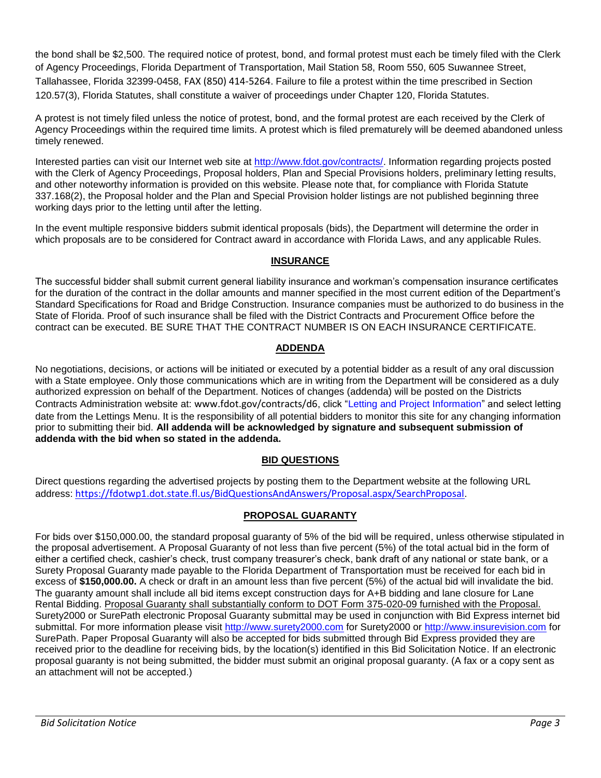the bond shall be \$2,500. The required notice of protest, bond, and formal protest must each be timely filed with the Clerk of Agency Proceedings, Florida Department of Transportation, Mail Station 58, Room 550, 605 Suwannee Street, Tallahassee, Florida 32399-0458, FAX (850) 414-5264. Failure to file a protest within the time prescribed in Section 120.57(3), Florida Statutes, shall constitute a waiver of proceedings under Chapter 120, Florida Statutes.

A protest is not timely filed unless the notice of protest, bond, and the formal protest are each received by the Clerk of Agency Proceedings within the required time limits. A protest which is filed prematurely will be deemed abandoned unless timely renewed.

Interested parties can visit our Internet web site at http://www.fdot.gov/contracts/. Information regarding projects posted with the Clerk of Agency Proceedings, Proposal holders, Plan and Special Provisions holders, preliminary letting results, and other noteworthy information is provided on this website. Please note that, for compliance with Florida Statute 337.168(2), the Proposal holder and the Plan and Special Provision holder listings are not published beginning three working days prior to the letting until after the letting.

In the event multiple responsive bidders submit identical proposals (bids), the Department will determine the order in which proposals are to be considered for Contract award in accordance with Florida Laws, and any applicable Rules.

## **INSURANCE**

The successful bidder shall submit current general liability insurance and workman's compensation insurance certificates for the duration of the contract in the dollar amounts and manner specified in the most current edition of the Department's Standard Specifications for Road and Bridge Construction. Insurance companies must be authorized to do business in the State of Florida. Proof of such insurance shall be filed with the District Contracts and Procurement Office before the contract can be executed. BE SURE THAT THE CONTRACT NUMBER IS ON EACH INSURANCE CERTIFICATE.

## **ADDENDA**

No negotiations, decisions, or actions will be initiated or executed by a potential bidder as a result of any oral discussion with a State employee. Only those communications which are in writing from the Department will be considered as a duly authorized expression on behalf of the Department. Notices of changes (addenda) will be posted on the Districts Contracts Administration website at: www.fdot.gov/contracts/d6, click "Letting and Project Information" and select letting date from the Lettings Menu. It is the responsibility of all potential bidders to monitor this site for any changing information prior to submitting their bid. **All addenda will be acknowledged by signature and subsequent submission of addenda with the bid when so stated in the addenda.**

# **BID QUESTIONS**

Direct questions regarding the advertised projects by posting them to the Department website at the following URL address: https://fdotwp1.dot.state.fl.us/BidQuestionsAndAnswers/Proposal.aspx/SearchProposal.

# **PROPOSAL GUARANTY**

For bids over \$150,000.00, the standard proposal guaranty of 5% of the bid will be required, unless otherwise stipulated in the proposal advertisement. A Proposal Guaranty of not less than five percent (5%) of the total actual bid in the form of either a certified check, cashier's check, trust company treasurer's check, bank draft of any national or state bank, or a Surety Proposal Guaranty made payable to the Florida Department of Transportation must be received for each bid in excess of **\$150,000.00.** A check or draft in an amount less than five percent (5%) of the actual bid will invalidate the bid. The guaranty amount shall include all bid items except construction days for A+B bidding and lane closure for Lane Rental Bidding. Proposal Guaranty shall substantially conform to DOT Form 375-020-09 furnished with the Proposal. Surety2000 or SurePath electronic Proposal Guaranty submittal may be used in conjunction with Bid Express internet bid submittal. For more information please visit http://www.surety2000.com for Surety2000 or http://www.insurevision.com for SurePath. Paper Proposal Guaranty will also be accepted for bids submitted through Bid Express provided they are received prior to the deadline for receiving bids, by the location(s) identified in this Bid Solicitation Notice. If an electronic proposal guaranty is not being submitted, the bidder must submit an original proposal guaranty. (A fax or a copy sent as an attachment will not be accepted.)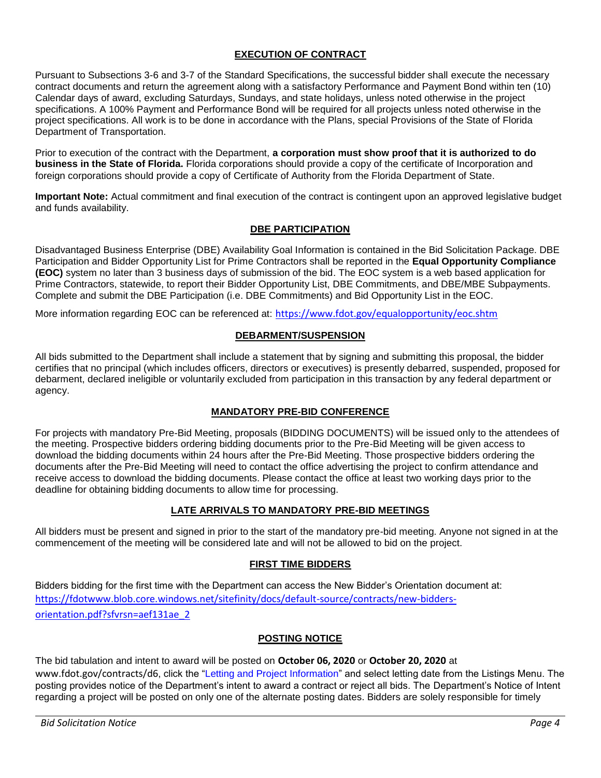# **EXECUTION OF CONTRACT**

Pursuant to Subsections 3-6 and 3-7 of the Standard Specifications, the successful bidder shall execute the necessary contract documents and return the agreement along with a satisfactory Performance and Payment Bond within ten (10) Calendar days of award, excluding Saturdays, Sundays, and state holidays, unless noted otherwise in the project specifications. A 100% Payment and Performance Bond will be required for all projects unless noted otherwise in the project specifications. All work is to be done in accordance with the Plans, special Provisions of the State of Florida Department of Transportation.

Prior to execution of the contract with the Department, **a corporation must show proof that it is authorized to do business in the State of Florida.** Florida corporations should provide a copy of the certificate of Incorporation and foreign corporations should provide a copy of Certificate of Authority from the Florida Department of State.

**Important Note:** Actual commitment and final execution of the contract is contingent upon an approved legislative budget and funds availability.

### **DBE PARTICIPATION**

Disadvantaged Business Enterprise (DBE) Availability Goal Information is contained in the Bid Solicitation Package. DBE Participation and Bidder Opportunity List for Prime Contractors shall be reported in the **Equal Opportunity Compliance (EOC)** system no later than 3 business days of submission of the bid. The EOC system is a web based application for Prime Contractors, statewide, to report their Bidder Opportunity List, DBE Commitments, and DBE/MBE Subpayments. Complete and submit the DBE Participation (i.e. DBE Commitments) and Bid Opportunity List in the EOC.

More information regarding EOC can be referenced at: https://www.fdot.gov/equalopportunity/eoc.shtm

### **DEBARMENT/SUSPENSION**

All bids submitted to the Department shall include a statement that by signing and submitting this proposal, the bidder certifies that no principal (which includes officers, directors or executives) is presently debarred, suspended, proposed for debarment, declared ineligible or voluntarily excluded from participation in this transaction by any federal department or agency.

### **MANDATORY PRE-BID CONFERENCE**

For projects with mandatory Pre-Bid Meeting, proposals (BIDDING DOCUMENTS) will be issued only to the attendees of the meeting. Prospective bidders ordering bidding documents prior to the Pre-Bid Meeting will be given access to download the bidding documents within 24 hours after the Pre-Bid Meeting. Those prospective bidders ordering the documents after the Pre-Bid Meeting will need to contact the office advertising the project to confirm attendance and receive access to download the bidding documents. Please contact the office at least two working days prior to the deadline for obtaining bidding documents to allow time for processing.

### **LATE ARRIVALS TO MANDATORY PRE-BID MEETINGS**

All bidders must be present and signed in prior to the start of the mandatory pre-bid meeting. Anyone not signed in at the commencement of the meeting will be considered late and will not be allowed to bid on the project.

### **FIRST TIME BIDDERS**

Bidders bidding for the first time with the Department can access the New Bidder's Orientation document at: https://fdotwww.blob.core.windows.net/sitefinity/docs/default-source/contracts/new-biddersorientation.pdf?sfvrsn=aef131ae 2

### **POSTING NOTICE**

The bid tabulation and intent to award will be posted on October 06, 2020 or October 20, 2020 at www.fdot.gov/contracts/d6, click the "Letting and Project Information" and select letting date from the Listings Menu. The posting provides notice of the Department's intent to award a contract or reject all bids. The Department's Notice of Intent regarding a project will be posted on only one of the alternate posting dates. Bidders are solely responsible for timely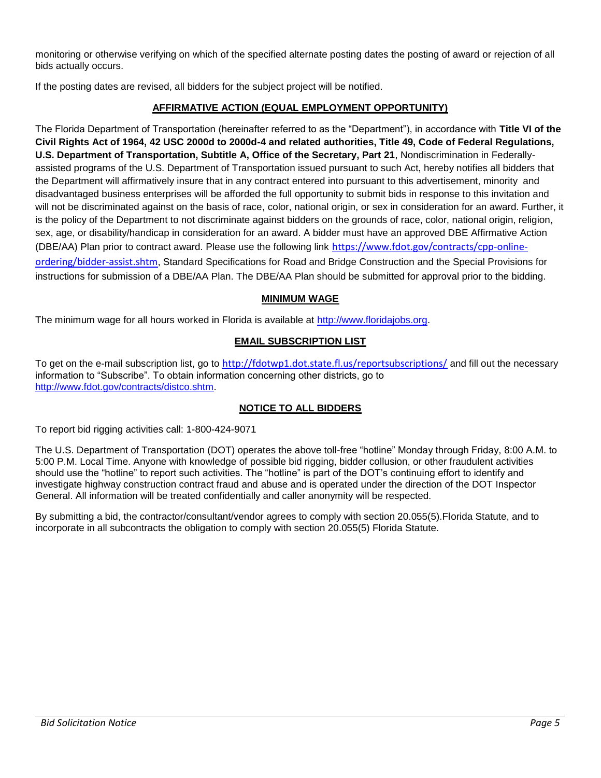monitoring or otherwise verifying on which of the specified alternate posting dates the posting of award or rejection of all bids actually occurs.

If the posting dates are revised, all bidders for the subject project will be notified.

# **AFFIRMATIVE ACTION (EQUAL EMPLOYMENT OPPORTUNITY)**

The Florida Department of Transportation (hereinafter referred to as the "Department"), in accordance with Title VI of the **Civil Rights Act of 1964, 42 USC 2000d to 2000d-4 and related authorities, Title 49, Code of Federal Regulations, U.S. Department of Transportation, Subtitle A, Office of the Secretary, Part 21**, Nondiscrimination in Federallyassisted programs of the U.S. Department of Transportation issued pursuant to such Act, hereby notifies all bidders that the Department will affirmatively insure that in any contract entered into pursuant to this advertisement, minority and disadvantaged business enterprises will be afforded the full opportunity to submit bids in response to this invitation and will not be discriminated against on the basis of race, color, national origin, or sex in consideration for an award. Further, it is the policy of the Department to not discriminate against bidders on the grounds of race, color, national origin, religion, sex, age, or disability/handicap in consideration for an award. A bidder must have an approved DBE Affirmative Action (DBE/AA) Plan prior to contract award. Please use the following link https://www.fdot.gov/contracts/cpp-onlineordering/bidder-assist.shtm. Standard Specifications for Road and Bridge Construction and the Special Provisions for instructions for submission of a DBE/AA Plan. The DBE/AA Plan should be submitted for approval prior to the bidding.

# **MINIMUM WAGE**

The minimum wage for all hours worked in Florida is available at http://www.floridajobs.org.

## **EMAIL SUBSCRIPTION LIST**

To get on the e-mail subscription list, go to http://fdotwp1.dot.state.fl.us/reportsubscriptions/ and fill out the necessary information to "Subscribe". To obtain information concerning other districts, go to http://www.fdot.gov/contracts/distco.shtm.

# **NOTICE TO ALL BIDDERS**

To report bid rigging activities call: 1-800-424-9071

The U.S. Department of Transportation (DOT) operates the above toll-free "hotline" Monday through Friday, 8:00 A.M. to 5:00 P.M. Local Time. Anyone with knowledge of possible bid rigging, bidder collusion, or other fraudulent activities should use the "hotline" to report such activities. The "hotline" is part of the DOT's continuing effort to identify and investigate highway construction contract fraud and abuse and is operated under the direction of the DOT Inspector General. All information will be treated confidentially and caller anonymity will be respected.

By submitting a bid, the contractor/consultant/vendor agrees to comply with section 20.055(5).Florida Statute, and to incorporate in all subcontracts the obligation to comply with section 20.055(5) Florida Statute.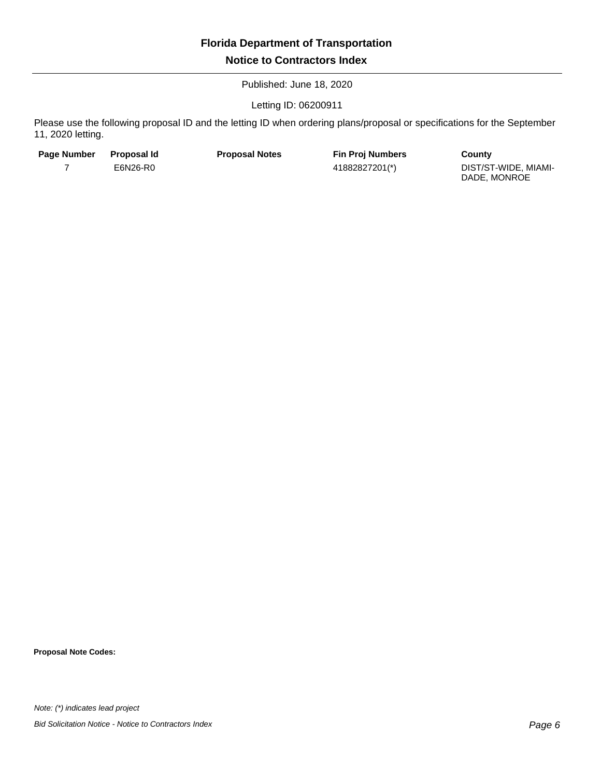Published: June 18, 2020

Letting ID: 06200911

Please use the following proposal ID and the letting ID when ordering plans/proposal or specifications for the September 11, 2020 letting.

| <b>Page Number</b> | Proposal Id | <b>Proposal Notes</b> | <b>Fin Proj Numbers</b> | County                               |
|--------------------|-------------|-----------------------|-------------------------|--------------------------------------|
|                    | E6N26-R0    |                       | 41882827201(*)          | DIST/ST-WIDE. MIAMI-<br>DADE, MONROE |

**Proposal Note Codes:**